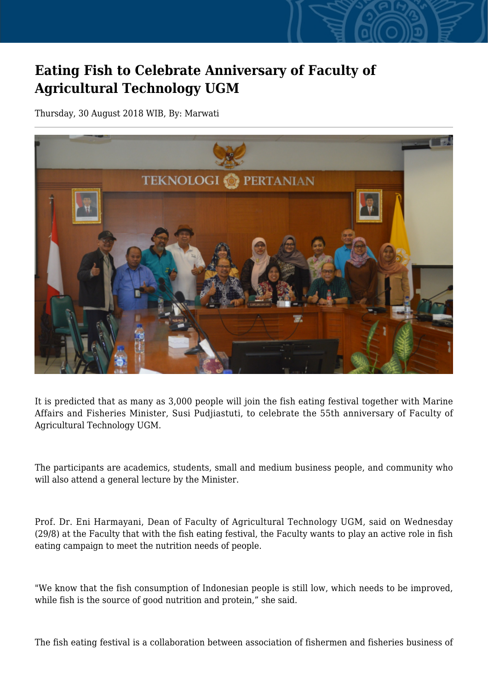## **Eating Fish to Celebrate Anniversary of Faculty of Agricultural Technology UGM**

Thursday, 30 August 2018 WIB, By: Marwati



It is predicted that as many as 3,000 people will join the fish eating festival together with Marine Affairs and Fisheries Minister, Susi Pudjiastuti, to celebrate the 55th anniversary of Faculty of Agricultural Technology UGM.

The participants are academics, students, small and medium business people, and community who will also attend a general lecture by the Minister.

Prof. Dr. Eni Harmayani, Dean of Faculty of Agricultural Technology UGM, said on Wednesday (29/8) at the Faculty that with the fish eating festival, the Faculty wants to play an active role in fish eating campaign to meet the nutrition needs of people.

"We know that the fish consumption of Indonesian people is still low, which needs to be improved, while fish is the source of good nutrition and protein," she said.

The fish eating festival is a collaboration between association of fishermen and fisheries business of